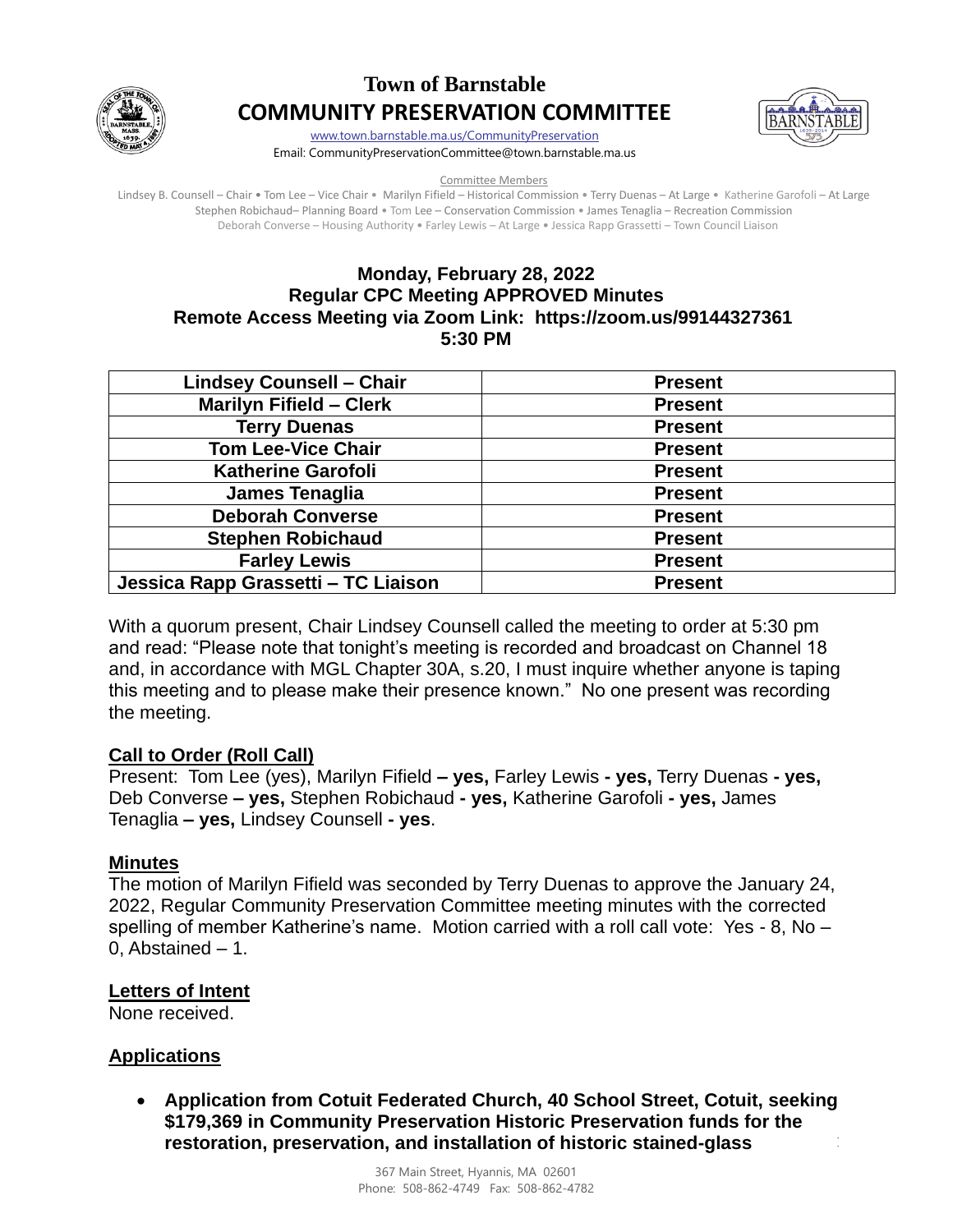

# **Town of Barnstable COMMUNITY PRESERVATION COMMITTEE**



[www.town.barnstable.ma.us/CommunityPreservation](http://www.town.barnstable.ma.us/CommunityPreservation) Email: CommunityPreservationCommittee@town.barnstable.ma.us

Committee Members

Lindsey B. Counsell – Chair • Tom Lee – Vice Chair • Marilyn Fifield – Historical Commission • Terry Duenas – At Large • Katherine Garofoli – At Large Stephen Robichaud– Planning Board • Tom Lee – Conservation Commission • James Tenaglia – Recreation Commission Deborah Converse – Housing Authority • Farley Lewis – At Large • Jessica Rapp Grassetti – Town Council Liaison

## **Monday, February 28, 2022 Regular CPC Meeting APPROVED Minutes Remote Access Meeting via Zoom Link: https://zoom.us/99144327361 5:30 PM**

| <b>Lindsey Counsell - Chair</b>     | <b>Present</b> |
|-------------------------------------|----------------|
| <b>Marilyn Fifield - Clerk</b>      | <b>Present</b> |
| <b>Terry Duenas</b>                 | <b>Present</b> |
| <b>Tom Lee-Vice Chair</b>           | <b>Present</b> |
| <b>Katherine Garofoli</b>           | <b>Present</b> |
| James Tenaglia                      | <b>Present</b> |
| <b>Deborah Converse</b>             | <b>Present</b> |
| <b>Stephen Robichaud</b>            | <b>Present</b> |
| <b>Farley Lewis</b>                 | <b>Present</b> |
| Jessica Rapp Grassetti - TC Liaison | <b>Present</b> |

With a quorum present, Chair Lindsey Counsell called the meeting to order at 5:30 pm and read: "Please note that tonight's meeting is recorded and broadcast on Channel 18 and, in accordance with MGL Chapter 30A, s.20, I must inquire whether anyone is taping this meeting and to please make their presence known." No one present was recording the meeting.

# **Call to Order (Roll Call)**

Present: Tom Lee (yes), Marilyn Fifield **– yes,** Farley Lewis **- yes,** Terry Duenas **- yes,** Deb Converse **– yes,** Stephen Robichaud **- yes,** Katherine Garofoli **- yes,** James Tenaglia **– yes,** Lindsey Counsell **- yes**.

### **Minutes**

The motion of Marilyn Fifield was seconded by Terry Duenas to approve the January 24, 2022, Regular Community Preservation Committee meeting minutes with the corrected spelling of member Katherine's name. Motion carried with a roll call vote: Yes - 8, No – 0, Abstained – 1.

# **Letters of Intent**

None received.

# **Applications**

 $\frac{1}{2}$ • **Application from Cotuit Federated Church, 40 School Street, Cotuit, seeking \$179,369 in Community Preservation Historic Preservation funds for the restoration, preservation, and installation of historic stained-glass**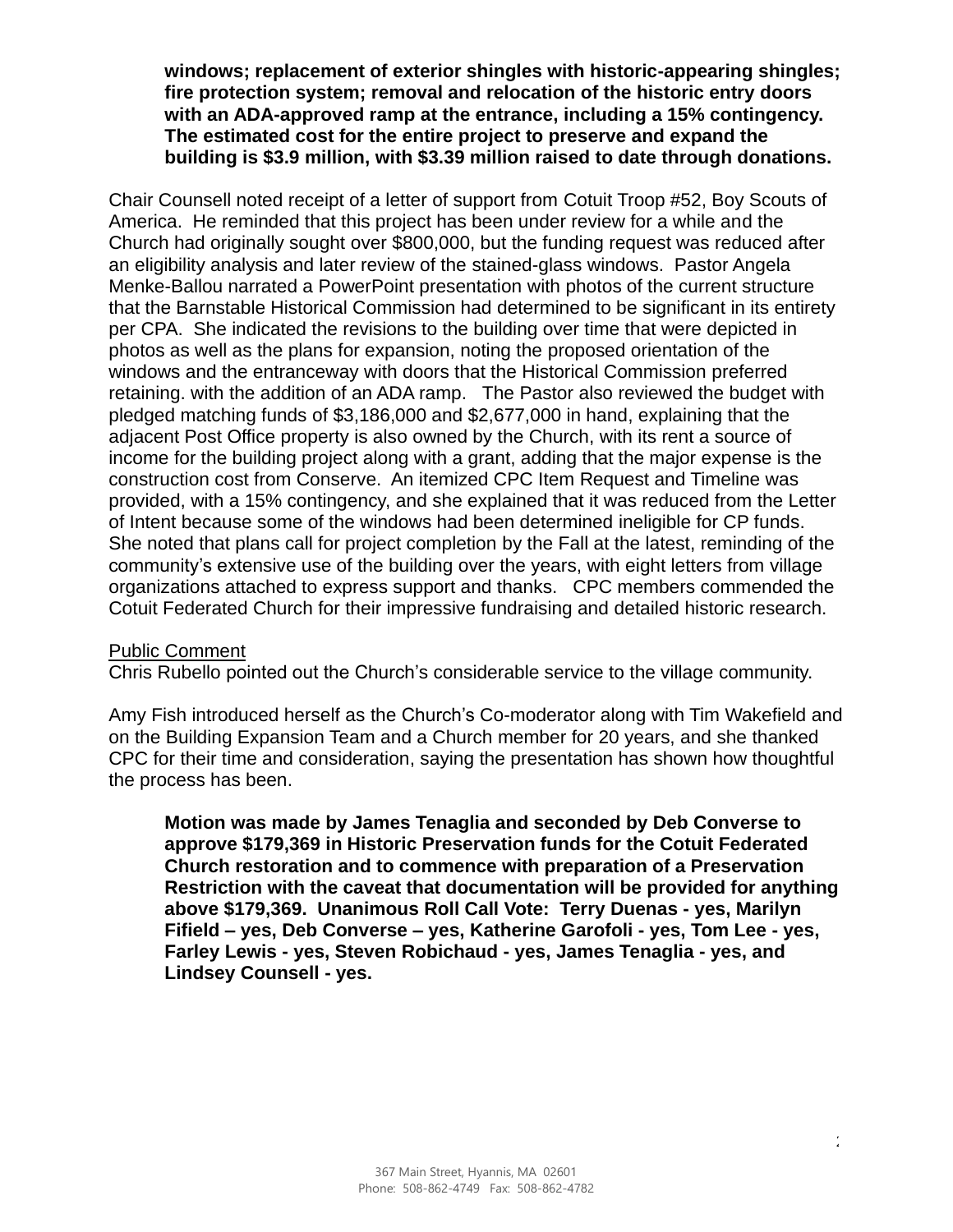**windows; replacement of exterior shingles with historic-appearing shingles; fire protection system; removal and relocation of the historic entry doors with an ADA-approved ramp at the entrance, including a 15% contingency. The estimated cost for the entire project to preserve and expand the building is \$3.9 million, with \$3.39 million raised to date through donations.**

Chair Counsell noted receipt of a letter of support from Cotuit Troop #52, Boy Scouts of America. He reminded that this project has been under review for a while and the Church had originally sought over \$800,000, but the funding request was reduced after an eligibility analysis and later review of the stained-glass windows. Pastor Angela Menke-Ballou narrated a PowerPoint presentation with photos of the current structure that the Barnstable Historical Commission had determined to be significant in its entirety per CPA. She indicated the revisions to the building over time that were depicted in photos as well as the plans for expansion, noting the proposed orientation of the windows and the entranceway with doors that the Historical Commission preferred retaining. with the addition of an ADA ramp. The Pastor also reviewed the budget with pledged matching funds of \$3,186,000 and \$2,677,000 in hand, explaining that the adjacent Post Office property is also owned by the Church, with its rent a source of income for the building project along with a grant, adding that the major expense is the construction cost from Conserve. An itemized CPC Item Request and Timeline was provided, with a 15% contingency, and she explained that it was reduced from the Letter of Intent because some of the windows had been determined ineligible for CP funds. She noted that plans call for project completion by the Fall at the latest, reminding of the community's extensive use of the building over the years, with eight letters from village organizations attached to express support and thanks. CPC members commended the Cotuit Federated Church for their impressive fundraising and detailed historic research.

#### Public Comment

Chris Rubello pointed out the Church's considerable service to the village community.

Amy Fish introduced herself as the Church's Co-moderator along with Tim Wakefield and on the Building Expansion Team and a Church member for 20 years, and she thanked CPC for their time and consideration, saying the presentation has shown how thoughtful the process has been.

**Motion was made by James Tenaglia and seconded by Deb Converse to approve \$179,369 in Historic Preservation funds for the Cotuit Federated Church restoration and to commence with preparation of a Preservation Restriction with the caveat that documentation will be provided for anything above \$179,369. Unanimous Roll Call Vote: Terry Duenas - yes, Marilyn Fifield – yes, Deb Converse – yes, Katherine Garofoli - yes, Tom Lee - yes, Farley Lewis - yes, Steven Robichaud - yes, James Tenaglia - yes, and Lindsey Counsell - yes.**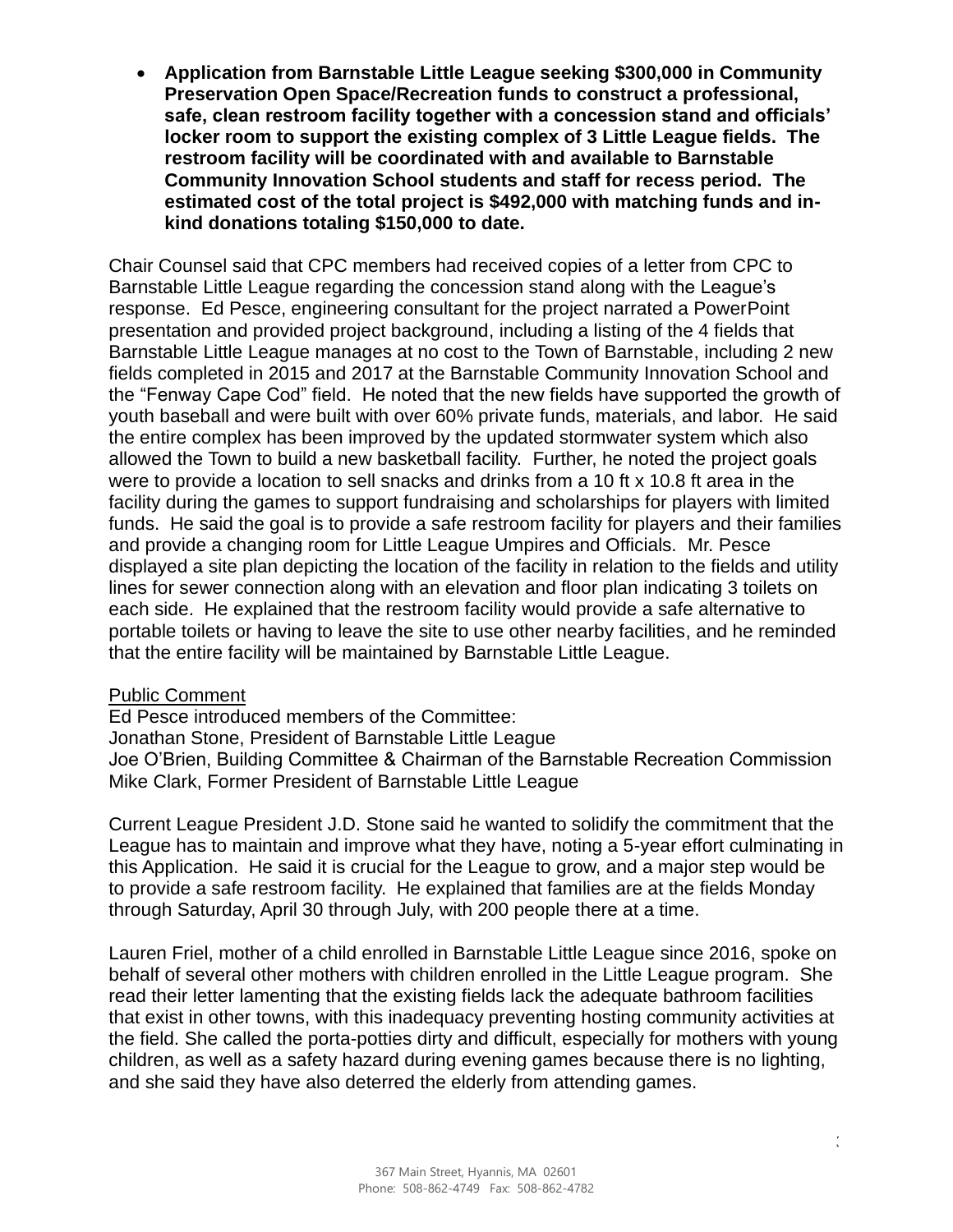• **Application from Barnstable Little League seeking \$300,000 in Community Preservation Open Space/Recreation funds to construct a professional, safe, clean restroom facility together with a concession stand and officials' locker room to support the existing complex of 3 Little League fields. The restroom facility will be coordinated with and available to Barnstable Community Innovation School students and staff for recess period. The estimated cost of the total project is \$492,000 with matching funds and inkind donations totaling \$150,000 to date.**

Chair Counsel said that CPC members had received copies of a letter from CPC to Barnstable Little League regarding the concession stand along with the League's response. Ed Pesce, engineering consultant for the project narrated a PowerPoint presentation and provided project background, including a listing of the 4 fields that Barnstable Little League manages at no cost to the Town of Barnstable, including 2 new fields completed in 2015 and 2017 at the Barnstable Community Innovation School and the "Fenway Cape Cod" field. He noted that the new fields have supported the growth of youth baseball and were built with over 60% private funds, materials, and labor. He said the entire complex has been improved by the updated stormwater system which also allowed the Town to build a new basketball facility. Further, he noted the project goals were to provide a location to sell snacks and drinks from a 10 ft x 10.8 ft area in the facility during the games to support fundraising and scholarships for players with limited funds. He said the goal is to provide a safe restroom facility for players and their families and provide a changing room for Little League Umpires and Officials. Mr. Pesce displayed a site plan depicting the location of the facility in relation to the fields and utility lines for sewer connection along with an elevation and floor plan indicating 3 toilets on each side. He explained that the restroom facility would provide a safe alternative to portable toilets or having to leave the site to use other nearby facilities, and he reminded that the entire facility will be maintained by Barnstable Little League.

### Public Comment

Ed Pesce introduced members of the Committee: Jonathan Stone, President of Barnstable Little League Joe O'Brien, Building Committee & Chairman of the Barnstable Recreation Commission Mike Clark, Former President of Barnstable Little League

Current League President J.D. Stone said he wanted to solidify the commitment that the League has to maintain and improve what they have, noting a 5-year effort culminating in this Application. He said it is crucial for the League to grow, and a major step would be to provide a safe restroom facility. He explained that families are at the fields Monday through Saturday, April 30 through July, with 200 people there at a time.

Lauren Friel, mother of a child enrolled in Barnstable Little League since 2016, spoke on behalf of several other mothers with children enrolled in the Little League program. She read their letter lamenting that the existing fields lack the adequate bathroom facilities that exist in other towns, with this inadequacy preventing hosting community activities at the field. She called the porta-potties dirty and difficult, especially for mothers with young children, as well as a safety hazard during evening games because there is no lighting, and she said they have also deterred the elderly from attending games.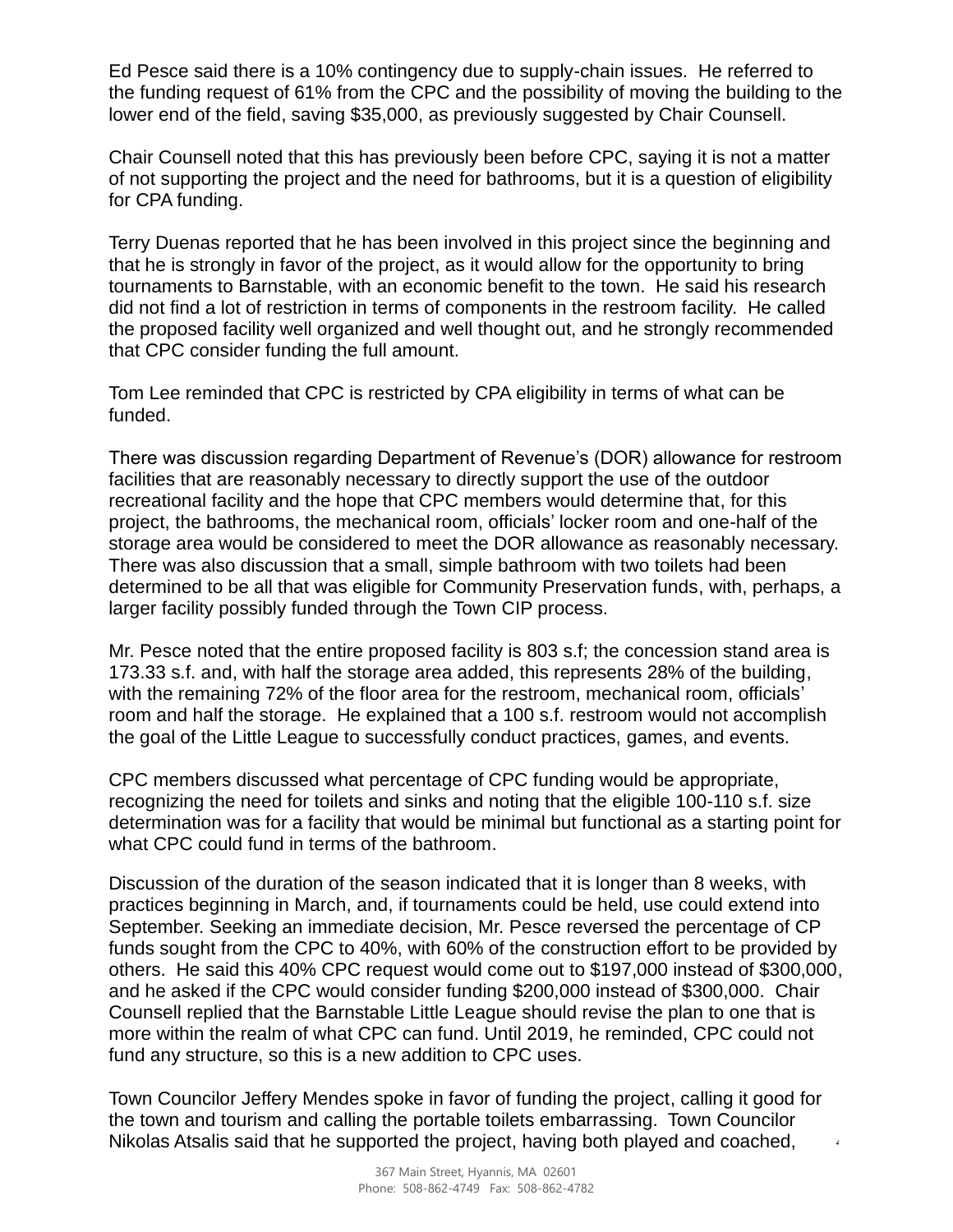Ed Pesce said there is a 10% contingency due to supply-chain issues. He referred to the funding request of 61% from the CPC and the possibility of moving the building to the lower end of the field, saving \$35,000, as previously suggested by Chair Counsell.

Chair Counsell noted that this has previously been before CPC, saying it is not a matter of not supporting the project and the need for bathrooms, but it is a question of eligibility for CPA funding.

Terry Duenas reported that he has been involved in this project since the beginning and that he is strongly in favor of the project, as it would allow for the opportunity to bring tournaments to Barnstable, with an economic benefit to the town. He said his research did not find a lot of restriction in terms of components in the restroom facility. He called the proposed facility well organized and well thought out, and he strongly recommended that CPC consider funding the full amount.

Tom Lee reminded that CPC is restricted by CPA eligibility in terms of what can be funded.

There was discussion regarding Department of Revenue's (DOR) allowance for restroom facilities that are reasonably necessary to directly support the use of the outdoor recreational facility and the hope that CPC members would determine that, for this project, the bathrooms, the mechanical room, officials' locker room and one-half of the storage area would be considered to meet the DOR allowance as reasonably necessary. There was also discussion that a small, simple bathroom with two toilets had been determined to be all that was eligible for Community Preservation funds, with, perhaps, a larger facility possibly funded through the Town CIP process.

Mr. Pesce noted that the entire proposed facility is 803 s.f; the concession stand area is 173.33 s.f. and, with half the storage area added, this represents 28% of the building, with the remaining 72% of the floor area for the restroom, mechanical room, officials' room and half the storage. He explained that a 100 s.f. restroom would not accomplish the goal of the Little League to successfully conduct practices, games, and events.

CPC members discussed what percentage of CPC funding would be appropriate, recognizing the need for toilets and sinks and noting that the eligible 100-110 s.f. size determination was for a facility that would be minimal but functional as a starting point for what CPC could fund in terms of the bathroom.

Discussion of the duration of the season indicated that it is longer than 8 weeks, with practices beginning in March, and, if tournaments could be held, use could extend into September. Seeking an immediate decision, Mr. Pesce reversed the percentage of CP funds sought from the CPC to 40%, with 60% of the construction effort to be provided by others. He said this 40% CPC request would come out to \$197,000 instead of \$300,000, and he asked if the CPC would consider funding \$200,000 instead of \$300,000. Chair Counsell replied that the Barnstable Little League should revise the plan to one that is more within the realm of what CPC can fund. Until 2019, he reminded, CPC could not fund any structure, so this is a new addition to CPC uses.

Town Councilor Jeffery Mendes spoke in favor of funding the project, calling it good for the town and tourism and calling the portable toilets embarrassing. Town Councilor Nikolas Atsalis said that he supported the project, having both played and coached,

4